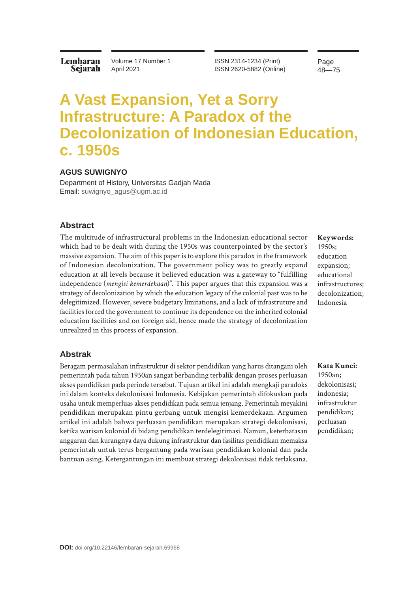Lembaran Sejarah Volume 17 Number 1 April 2021

ISSN 2314-1234 (Print) ISSN 2620-5882 (Online) Page 48—75

# **A Vast Expansion, Yet a Sorry Infrastructure: A Paradox of the Decolonization of Indonesian Education, c. 1950s**

#### **AGUS SUWIGNYO**

Department of History, Universitas Gadjah Mada Email: [suwignyo\\_agus@ugm.ac.id](mailto:suwignyo_agus%40ugm.ac.id?subject=)

#### **Abstract**

The multitude of infrastructural problems in the Indonesian educational sector which had to be dealt with during the 1950s was counterpointed by the sector's massive expansion. The aim of this paper is to explore this paradox in the framework of Indonesian decolonization. The government policy was to greatly expand education at all levels because it believed education was a gateway to "fulfilling independence (*mengisi kemerdekaan*)". This paper argues that this expansion was a strategy of decolonization by which the education legacy of the colonial past was to be delegitimized. However, severe budgetary limitations, and a lack of infrastruture and facilities forced the government to continue its dependence on the inherited colonial education facilities and on foreign aid, hence made the strategy of decolonization unrealized in this process of expansion.

# **Keywords:** 1950s; education expansion; educational infrastructures; decolonization; Indonesia

#### **Abstrak**

Beragam permasalahan infrastruktur di sektor pendidikan yang harus ditangani oleh pemerintah pada tahun 1950an sangat berbanding terbalik dengan proses perluasan akses pendidikan pada periode tersebut. Tujuan artikel ini adalah mengkaji paradoks ini dalam konteks dekolonisasi Indonesia. Kebijakan pemerintah difokuskan pada usaha untuk memperluas akses pendidikan pada semua jenjang. Pemerintah meyakini pendidikan merupakan pintu gerbang untuk mengisi kemerdekaan. Argumen artikel ini adalah bahwa perluasan pendidikan merupakan strategi dekolonisasi, ketika warisan kolonial di bidang pendidikan terdelegitimasi. Namun, keterbatasan anggaran dan kurangnya daya dukung infrastruktur dan fasilitas pendidikan memaksa pemerintah untuk terus bergantung pada warisan pendidikan kolonial dan pada bantuan asing. Ketergantungan ini membuat strategi dekolonisasi tidak terlaksana.

**Kata Kunci:**  1950an; dekolonisasi; indonesia; infrastruktur pendidikan; perluasan pendidikan;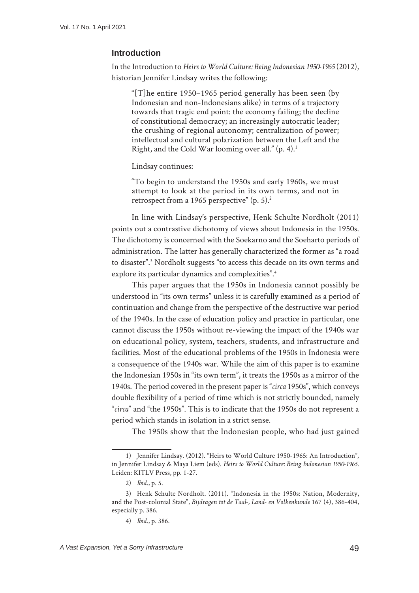## **Introduction**

In the Introduction to *Heirs to World Culture: Being Indonesian 1950-1965* (2012), historian Jennifer Lindsay writes the following:

"[T]he entire 1950–1965 period generally has been seen (by Indonesian and non-Indonesians alike) in terms of a trajectory towards that tragic end point: the economy failing; the decline of constitutional democracy; an increasingly autocratic leader; the crushing of regional autonomy; centralization of power; intellectual and cultural polarization between the Left and the Right, and the Cold War looming over all." (p. 4).1

Lindsay continues:

"To begin to understand the 1950s and early 1960s, we must attempt to look at the period in its own terms, and not in retrospect from a 1965 perspective" (p. 5).<sup>2</sup>

In line with Lindsay's perspective, Henk Schulte Nordholt (2011) points out a contrastive dichotomy of views about Indonesia in the 1950s. The dichotomy is concerned with the Soekarno and the Soeharto periods of administration. The latter has generally characterized the former as "a road to disaster".3 Nordholt suggests "to access this decade on its own terms and explore its particular dynamics and complexities".<sup>4</sup>

This paper argues that the 1950s in Indonesia cannot possibly be understood in "its own terms" unless it is carefully examined as a period of continuation and change from the perspective of the destructive war period of the 1940s. In the case of education policy and practice in particular, one cannot discuss the 1950s without re-viewing the impact of the 1940s war on educational policy, system, teachers, students, and infrastructure and facilities. Most of the educational problems of the 1950s in Indonesia were a consequence of the 1940s war. While the aim of this paper is to examine the Indonesian 1950s in "its own term", it treats the 1950s as a mirror of the 1940s. The period covered in the present paper is "*circa* 1950s", which conveys double flexibility of a period of time which is not strictly bounded, namely "*circa*" and "the 1950s". This is to indicate that the 1950s do not represent a period which stands in isolation in a strict sense.

The 1950s show that the Indonesian people, who had just gained

<sup>1)</sup> Jennifer Lindsay. (2012). "Heirs to World Culture 1950-1965: An Introduction", in Jennifer Lindsay & Maya Liem (eds). *Heirs to World Culture: Being Indonesian 1950-1965*. Leiden: KITLV Press, pp. 1-27.

<sup>2)</sup> *Ibid*., p. 5.

<sup>3)</sup> Henk Schulte Nordholt. (2011). "Indonesia in the 1950s: Nation, Modernity, and the Post-colonial State", *Bijdragen tot de Taal-, Land- en Volkenkunde* 167 (4), 386-404, especially p. 386.

<sup>4)</sup> *Ibid*., p. 386.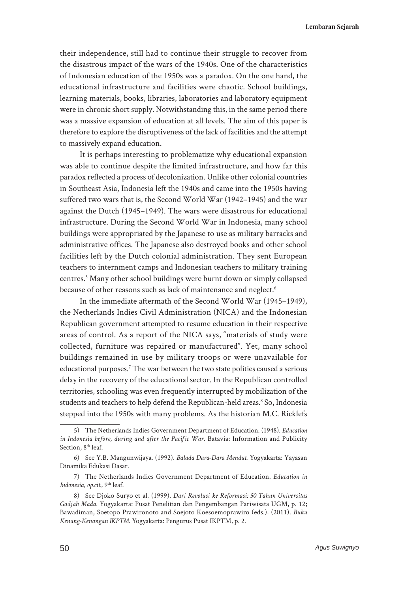their independence, still had to continue their struggle to recover from the disastrous impact of the wars of the 1940s. One of the characteristics of Indonesian education of the 1950s was a paradox. On the one hand, the educational infrastructure and facilities were chaotic. School buildings, learning materials, books, libraries, laboratories and laboratory equipment were in chronic short supply. Notwithstanding this, in the same period there was a massive expansion of education at all levels. The aim of this paper is therefore to explore the disruptiveness of the lack of facilities and the attempt to massively expand education.

It is perhaps interesting to problematize why educational expansion was able to continue despite the limited infrastructure, and how far this paradox reflected a process of decolonization. Unlike other colonial countries in Southeast Asia, Indonesia left the 1940s and came into the 1950s having suffered two wars that is, the Second World War (1942–1945) and the war against the Dutch (1945–1949). The wars were disastrous for educational infrastructure. During the Second World War in Indonesia, many school buildings were appropriated by the Japanese to use as military barracks and administrative offices. The Japanese also destroyed books and other school facilities left by the Dutch colonial administration. They sent European teachers to internment camps and Indonesian teachers to military training centres.5 Many other school buildings were burnt down or simply collapsed because of other reasons such as lack of maintenance and neglect.<sup>6</sup>

In the immediate aftermath of the Second World War (1945–1949), the Netherlands Indies Civil Administration (NICA) and the Indonesian Republican government attempted to resume education in their respective areas of control. As a report of the NICA says, "materials of study were collected, furniture was repaired or manufactured". Yet, many school buildings remained in use by military troops or were unavailable for educational purposes.<sup>7</sup> The war between the two state polities caused a serious delay in the recovery of the educational sector. In the Republican controlled territories, schooling was even frequently interrupted by mobilization of the students and teachers to help defend the Republican-held areas.<sup>8</sup> So, Indonesia stepped into the 1950s with many problems. As the historian M.C. Ricklefs

<sup>5)</sup> The Netherlands Indies Government Department of Education. (1948). *Education in Indonesia before, during and after the Pacific War*. Batavia: Information and Publicity Section, 8<sup>th</sup> leaf.

<sup>6)</sup> See Y.B. Mangunwijaya. (1992). *Balada Dara-Dara Mendut*. Yogyakarta: Yayasan Dinamika Edukasi Dasar.

<sup>7)</sup> The Netherlands Indies Government Department of Education. *Education in Indonesia*, *op.cit.*, 9th leaf.

<sup>8)</sup> See Djoko Suryo et al. (1999). *Dari Revolusi ke Reformasi: 50 Tahun Universitas Gadjah Mada*. Yogyakarta: Pusat Penelitian dan Pengembangan Pariwisata UGM, p. 12; Bawadiman, Soetopo Prawironoto and Soejoto Koesoemoprawiro (eds.). (2011). *Buku Kenang-Kenangan IKPTM*. Yogyakarta: Pengurus Pusat IKPTM, p. 2.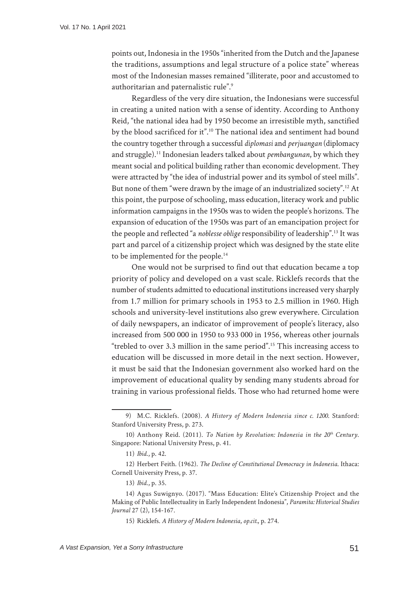points out, Indonesia in the 1950s "inherited from the Dutch and the Japanese the traditions, assumptions and legal structure of a police state" whereas most of the Indonesian masses remained "illiterate, poor and accustomed to authoritarian and paternalistic rule".<sup>9</sup>

Regardless of the very dire situation, the Indonesians were successful in creating a united nation with a sense of identity. According to Anthony Reid, "the national idea had by 1950 become an irresistible myth, sanctified by the blood sacrificed for it".<sup>10</sup> The national idea and sentiment had bound the country together through a successful *diplomasi* and *perjuangan* (diplomacy and struggle).11 Indonesian leaders talked about *pembangunan*, by which they meant social and political building rather than economic development. They were attracted by "the idea of industrial power and its symbol of steel mills". But none of them "were drawn by the image of an industrialized society".12 At this point, the purpose of schooling, mass education, literacy work and public information campaigns in the 1950s was to widen the people's horizons. The expansion of education of the 1950s was part of an emancipation project for the people and reflected "a *noblesse oblige* responsibility of leadership".13 It was part and parcel of a citizenship project which was designed by the state elite to be implemented for the people.<sup>14</sup>

One would not be surprised to find out that education became a top priority of policy and developed on a vast scale. Ricklefs records that the number of students admitted to educational institutions increased very sharply from 1.7 million for primary schools in 1953 to 2.5 million in 1960. High schools and university-level institutions also grew everywhere. Circulation of daily newspapers, an indicator of improvement of people's literacy, also increased from 500 000 in 1950 to 933 000 in 1956, whereas other journals "trebled to over 3.3 million in the same period".15 This increasing access to education will be discussed in more detail in the next section. However, it must be said that the Indonesian government also worked hard on the improvement of educational quality by sending many students abroad for training in various professional fields. Those who had returned home were

12) Herbert Feith. (1962). *The Decline of Constitutional Democracy in Indonesia*. Ithaca: Cornell University Press, p. 37.

<sup>9)</sup> M.C. Ricklefs. (2008). *A History of Modern Indonesia since c. 1200*. Stanford: Stanford University Press, p. 273.

<sup>10)</sup> Anthony Reid. (2011). *To Nation by Revolution: Indonesia in the 20th Century*. Singapore: National University Press, p. 41.

<sup>11)</sup> *Ibid*., p. 42.

<sup>13)</sup> *Ibid*., p. 35.

<sup>14)</sup> Agus Suwignyo. (2017). "Mass Education: Elite's Citizenship Project and the Making of Public Intellectuality in Early Independent Indonesia", *Paramita: Historical Studies Journal* 27 (2), 154-167.

<sup>15)</sup> Ricklefs. *A History of Modern Indonesia*, *op.cit.*, p. 274.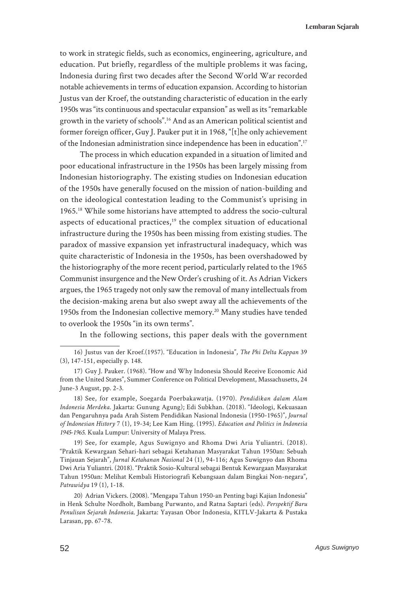to work in strategic fields, such as economics, engineering, agriculture, and education. Put briefly, regardless of the multiple problems it was facing, Indonesia during first two decades after the Second World War recorded notable achievements in terms of education expansion. According to historian Justus van der Kroef, the outstanding characteristic of education in the early 1950s was "its continuous and spectacular expansion" as well as its "remarkable growth in the variety of schools".16 And as an American political scientist and former foreign officer, Guy J. Pauker put it in 1968, "[t]he only achievement of the Indonesian administration since independence has been in education".17

The process in which education expanded in a situation of limited and poor educational infrastructure in the 1950s has been largely missing from Indonesian historiography. The existing studies on Indonesian education of the 1950s have generally focused on the mission of nation-building and on the ideological contestation leading to the Communist's uprising in 1965.18 While some historians have attempted to address the socio-cultural aspects of educational practices, $19$  the complex situation of educational infrastructure during the 1950s has been missing from existing studies. The paradox of massive expansion yet infrastructural inadequacy, which was quite characteristic of Indonesia in the 1950s, has been overshadowed by the historiography of the more recent period, particularly related to the 1965 Communist insurgence and the New Order's crushing of it. As Adrian Vickers argues, the 1965 tragedy not only saw the removal of many intellectuals from the decision-making arena but also swept away all the achievements of the 1950s from the Indonesian collective memory.<sup>20</sup> Many studies have tended to overlook the 1950s "in its own terms".

In the following sections, this paper deals with the government

19) See, for example, Agus Suwignyo and Rhoma Dwi Aria Yuliantri. (2018). "Praktik Kewargaan Sehari-hari sebagai Ketahanan Masyarakat Tahun 1950an: Sebuah Tinjauan Sejarah", *Jurnal Ketahanan Nasional* 24 (1), 94-116; Agus Suwignyo dan Rhoma Dwi Aria Yuliantri. (2018). "Praktik Sosio-Kultural sebagai Bentuk Kewargaan Masyarakat Tahun 1950an: Melihat Kembali Historiografi Kebangsaan dalam Bingkai Non-negara", *Patrawidya* 19 (1), 1-18.

20) Adrian Vickers. (2008). "Mengapa Tahun 1950-an Penting bagi Kajian Indonesia" in Henk Schulte Nordholt, Bambang Purwanto, and Ratna Saptari (eds). *Perspektif Baru Penulisan Sejarah Indonesia*. Jakarta: Yayasan Obor Indonesia, KITLV-Jakarta & Pustaka Larasan, pp. 67-78.

<sup>16)</sup> Justus van der Kroef.(1957). "Education in Indonesia", *The Phi Delta Kappan* 39 (3), 147-151, especially p. 148.

<sup>17)</sup> Guy J. Pauker. (1968). "How and Why Indonesia Should Receive Economic Aid from the United States", Summer Conference on Political Development, Massachusetts, 24 June-3 August, pp. 2-3.

<sup>18)</sup> See, for example, Soegarda Poerbakawatja. (1970). *Pendidikan dalam Alam Indonesia Merdeka*. Jakarta: Gunung Agung); Edi Subkhan. (2018). "Ideologi, Kekuasaan dan Pengaruhnya pada Arah Sistem Pendidikan Nasional Indonesia (1950-1965)", *Journal of Indonesian History* 7 (1), 19-34; Lee Kam Hing. (1995). *Education and Politics in Indonesia 1945-1965*. Kuala Lumpur: University of Malaya Press.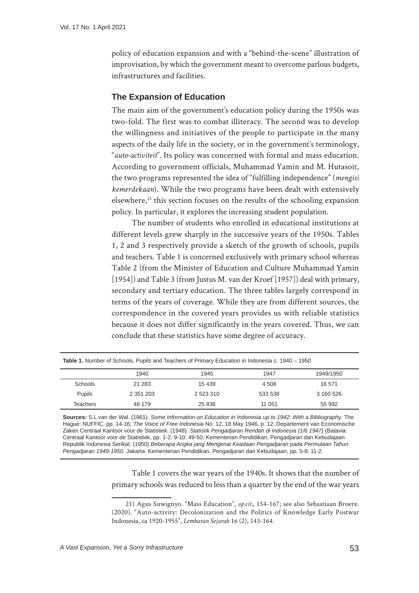policy of education expansion and with a "behind-the-scene" illustration of improvisation, by which the government meant to overcome parlous budgets, infrastructures and facilities.

# **The Expansion of Education**

The main aim of the government's education policy during the 1950s was two-fold. The first was to combat illiteracy. The second was to develop the willingness and initiatives of the people to participate in the many aspects of the daily life in the society, or in the government's terminology, "*auto-activiteit*". Its policy was concerned with formal and mass education. According to government officials, Muhammad Yamin and M. Hutasoit, the two programs represented the idea of "fulfilling independence" (*mengisi kemerdekaan*). While the two programs have been dealt with extensively elsewhere, $^{21}$  this section focuses on the results of the schooling expansion policy. In particular, it explores the increasing student population.

The number of students who enrolled in educational institutions at different levels grew sharply in the successive years of the 1950s. Tables 1, 2 and 3 respectively provide a sketch of the growth of schools, pupils and teachers. Table 1 is concerned exclusively with primary school whereas Table 2 (from the Minister of Education and Culture Muhammad Yamin [1954]) and Table 3 (from Justus M. van der Kroef [1957]) deal with primary, secondary and tertiary education. The three tables largely correspond in terms of the years of coverage. While they are from different sources, the correspondence in the covered years provides us with reliable statistics because it does not differ significantly in the years covered. Thus, we can conclude that these statistics have some degree of accuracy.

| <b>Table 1.</b> Number of Schools, Pupils and Teachers of Primary Education in Indonesia c. 1940 – 1950 |               |           |         |           |  |
|---------------------------------------------------------------------------------------------------------|---------------|-----------|---------|-----------|--|
|                                                                                                         | 1940          | 1945      | 1947    | 1949/1950 |  |
| Schools                                                                                                 | 21 2 8 3      | 15 439    | 4 508   | 16 571    |  |
| Pupils                                                                                                  | 2 3 5 1 2 0 3 | 2 523 310 | 533 538 | 3 160 526 |  |
| Teachers                                                                                                | 48 179        | 25 836    | 11 051  | 55 992    |  |

**Sources:** S.L van der Wal. (1961). *Some Information on Education in Indonesia up to 1942: With a Bibliography*. The Hague: NUFFIC, pp. 14-16; *The Voice of Free Indonesia* No. 12, 18 May 1946, p. 12; Departement van Economische Zaken Centraal Kantoor voor de Statistiek. (1948). *Statistik Pengadjaran Rendah di Indonesia (1/6 1947)* (Batavia: Centraal Kantoor voor de Statistiek, pp. 1-2; 9-10; 49-50; Kementerian Pendidikan, Pengadjaran dan Kebudajaan Republik Indonesia Serikat. (1950) *Beberapa Angka jang Mengenai Keadaan Pengadjaran pada Permulaan Tahun Pengadjaran 1949-1950.* Jakarta: Kementerian Pendidikan, Pengadjaran dan Kebudajaan, pp. 5-8; 11-2.

> Table 1 covers the war years of the 1940s. It shows that the number of primary schools was reduced to less than a quarter by the end of the war years

<sup>21)</sup> Agus Suwignyo. "Mass Education", *op.cit.*, 154-167; see also Sebastiaan Broere. (2020). "Auto-activity: Decolonization and the Politics of Knowledge Early Postwar Indonesia, ca 1920-1955", *Lembaran Sejarah* 16 (2), 143-164.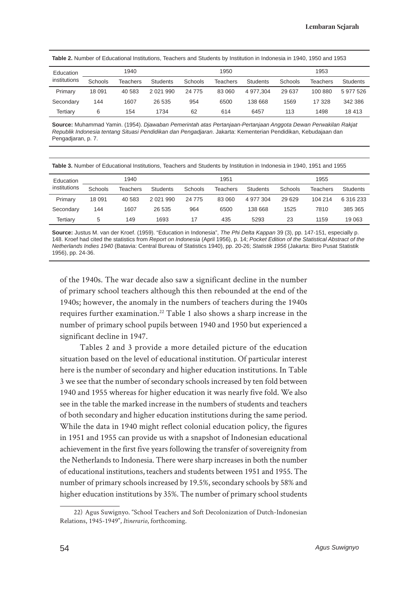| Education    | 1940    |          |               | 1950     |          |           | 1953    |                 |           |
|--------------|---------|----------|---------------|----------|----------|-----------|---------|-----------------|-----------|
| institutions | Schools | Teachers | Students      | Schools  | Teachers | Students  | Schools | <b>Teachers</b> | Students  |
| Primary      | 18 091  | 40 583   | 2 0 2 1 9 9 0 | 24 7 7 5 | 83 060   | 4 977.304 | 29 637  | 100 880         | 5 977 526 |
| Secondary    | 144     | 1607     | 26 535        | 954      | 6500     | 138 668   | 1569    | 17 328          | 342 386   |
| Tertiary     | 6       | 154      | 1734          | 62       | 614      | 6457      | 113     | 1498            | 18 413    |

**Source:** Muhammad Yamin. (1954). *Djawaban Pemerintah atas Pertanjaan-Pertanjaan Anggota Dewan Perwakilan Rakjat Republik Indonesia tentang Situasi Pendidikan dan Pengadjaran*. Jakarta: Kementerian Pendidikan, Kebudajaan dan Pengadjaran, p. 7.

**Table 3.** Number of Educational Institutions, Teachers and Students by Institution in Indonesia in 1940, 1951 and 1955

| Education    | 1940    |          | 1951          |         |          | 1955      |         |          |           |
|--------------|---------|----------|---------------|---------|----------|-----------|---------|----------|-----------|
| institutions | Schools | Teachers | Students      | Schools | Teachers | Students  | Schools | Teachers | Students  |
| Primary      | 18 091  | 40 583   | 2 0 2 1 9 9 0 | 24 775  | 83 060   | 4 977 304 | 29 629  | 104 214  | 6 316 233 |
| Secondary    | 144     | 1607     | 26 535        | 964     | 6500     | 138 668   | 1525    | 7810     | 385 365   |
| Tertiary     | 5       | 149      | 1693          | 17      | 435      | 5293      | 23      | 1159     | 19 0 63   |

**Source:** Justus M. van der Kroef. (1959). "Education in Indonesia", *The Phi Delta Kappan* 39 (3), pp. 147-151, especially p. 148. Kroef had cited the statistics from *Report on Indonesia* (April 1956), p. 14; *Pocket Edition of the Statistical Abstract of the Netherlands Indies 1940* (Batavia: Central Bureau of Statistics 1940), pp. 20-26; *Statistik 1956* (Jakarta: Biro Pusat Statistik 1956), pp. 24-36.

of the 1940s. The war decade also saw a significant decline in the number of primary school teachers although this then rebounded at the end of the 1940s; however, the anomaly in the numbers of teachers during the 1940s requires further examination.<sup>22</sup> Table 1 also shows a sharp increase in the number of primary school pupils between 1940 and 1950 but experienced a significant decline in 1947.

Tables 2 and 3 provide a more detailed picture of the education situation based on the level of educational institution. Of particular interest here is the number of secondary and higher education institutions. In Table 3 we see that the number of secondary schools increased by ten fold between 1940 and 1955 whereas for higher education it was nearly five fold. We also see in the table the marked increase in the numbers of students and teachers of both secondary and higher education institutions during the same period. While the data in 1940 might reflect colonial education policy, the figures in 1951 and 1955 can provide us with a snapshot of Indonesian educational achievement in the first five years following the transfer of sovereignity from the Netherlands to Indonesia. There were sharp increases in both the number of educational institutions, teachers and students between 1951 and 1955. The number of primary schools increased by 19.5%, secondary schools by 58% and higher education institutions by 35%. The number of primary school students

<sup>22)</sup> Agus Suwignyo. "School Teachers and Soft Decolonization of Dutch-Indonesian Relations, 1945-1949", *Itinerario*, forthcoming.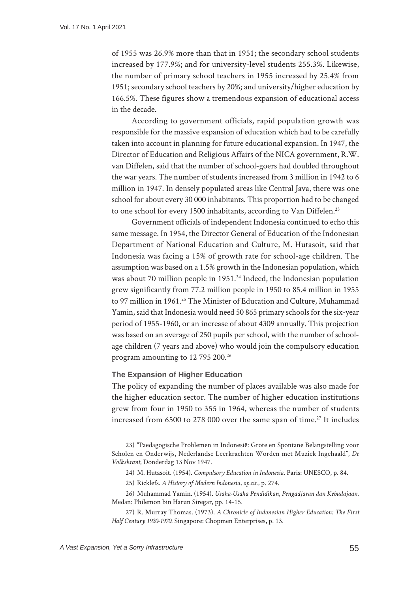of 1955 was 26.9% more than that in 1951; the secondary school students increased by 177.9%; and for university-level students 255.3%. Likewise, the number of primary school teachers in 1955 increased by 25.4% from 1951; secondary school teachers by 20%; and university/higher education by 166.5%. These figures show a tremendous expansion of educational access in the decade.

According to government officials, rapid population growth was responsible for the massive expansion of education which had to be carefully taken into account in planning for future educational expansion. In 1947, the Director of Education and Religious Affairs of the NICA government, R.W. van Diffelen, said that the number of school-goers had doubled throughout the war years. The number of students increased from 3 million in 1942 to 6 million in 1947. In densely populated areas like Central Java, there was one school for about every 30 000 inhabitants. This proportion had to be changed to one school for every 1500 inhabitants, according to Van Diffelen.<sup>23</sup>

Government officials of independent Indonesia continued to echo this same message. In 1954, the Director General of Education of the Indonesian Department of National Education and Culture, M. Hutasoit, said that Indonesia was facing a 15% of growth rate for school-age children. The assumption was based on a 1.5% growth in the Indonesian population, which was about 70 million people in 1951.<sup>24</sup> Indeed, the Indonesian population grew significantly from 77.2 million people in 1950 to 85.4 million in 1955 to 97 million in 1961.<sup>25</sup> The Minister of Education and Culture, Muhammad Yamin, said that Indonesia would need 50 865 primary schools for the six-year period of 1955-1960, or an increase of about 4309 annually. This projection was based on an average of 250 pupils per school, with the number of schoolage children (7 years and above) who would join the compulsory education program amounting to 12 795 200.<sup>26</sup>

## **The Expansion of Higher Education**

The policy of expanding the number of places available was also made for the higher education sector. The number of higher education institutions grew from four in 1950 to 355 in 1964, whereas the number of students increased from 6500 to 278 000 over the same span of time.<sup>27</sup> It includes

<sup>23)</sup> "Paedagogische Problemen in Indonesië: Grote en Spontane Belangstelling voor Scholen en Onderwijs, Nederlandse Leerkrachten Worden met Muziek Ingehaald", *De Volkskrant*, Donderdag 13 Nov 1947.

<sup>24)</sup> M. Hutasoit. (1954). *Compulsory Education in Indonesia*. Paris: UNESCO, p. 84.

<sup>25)</sup> Ricklefs. *A History of Modern Indonesia*, *op.cit*., p. 274.

<sup>26)</sup> Muhammad Yamin. (1954). *Usaha-Usaha Pendidikan, Pengadjaran dan Kebudajaan*. Medan: Philemon bin Harun Siregar, pp. 14-15.

<sup>27)</sup> R. Murray Thomas. (1973). *A Chronicle of Indonesian Higher Education: The First Half Century 1920-1970*. Singapore: Chopmen Enterprises, p. 13.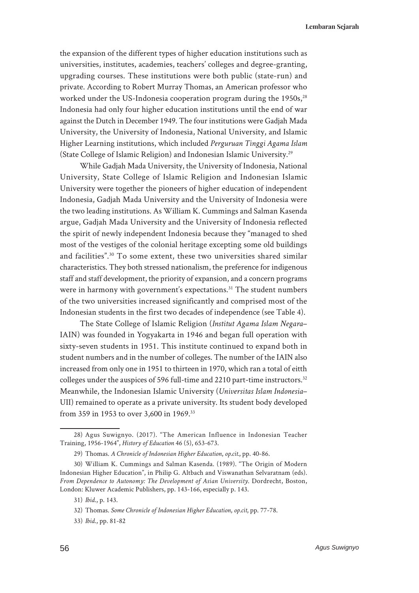the expansion of the different types of higher education institutions such as universities, institutes, academies, teachers' colleges and degree-granting, upgrading courses. These institutions were both public (state-run) and private. According to Robert Murray Thomas, an American professor who worked under the US-Indonesia cooperation program during the 1950s,<sup>28</sup> Indonesia had only four higher education institutions until the end of war against the Dutch in December 1949. The four institutions were Gadjah Mada University, the University of Indonesia, National University, and Islamic Higher Learning institutions, which included *Perguruan Tinggi Agama Islam* (State College of Islamic Religion) and Indonesian Islamic University.29

While Gadjah Mada University, the University of Indonesia, National University, State College of Islamic Religion and Indonesian Islamic University were together the pioneers of higher education of independent Indonesia, Gadjah Mada University and the University of Indonesia were the two leading institutions. As William K. Cummings and Salman Kasenda argue, Gadjah Mada University and the University of Indonesia reflected the spirit of newly independent Indonesia because they "managed to shed most of the vestiges of the colonial heritage excepting some old buildings and facilities".30 To some extent, these two universities shared similar characteristics. They both stressed nationalism, the preference for indigenous staff and staff development, the priority of expansion, and a concern programs were in harmony with government's expectations.<sup>31</sup> The student numbers of the two universities increased significantly and comprised most of the Indonesian students in the first two decades of independence (see Table 4).

The State College of Islamic Religion (*Institut Agama Islam Negara*– IAIN) was founded in Yogyakarta in 1946 and began full operation with sixty-seven students in 1951. This institute continued to expand both in student numbers and in the number of colleges. The number of the IAIN also increased from only one in 1951 to thirteen in 1970, which ran a total of eitth colleges under the auspices of 596 full-time and 2210 part-time instructors.<sup>32</sup> Meanwhile, the Indonesian Islamic University (*Universitas Islam Indonesia*– UII) remained to operate as a private university. Its student body developed from 359 in 1953 to over 3,600 in 1969.33

<sup>28)</sup> Agus Suwignyo. (2017). "The American Influence in Indonesian Teacher Training, 1956-1964", *History of Education* 46 (5), 653-673.

<sup>29)</sup> Thomas. *A Chronicle of Indonesian Higher Education*, *op.cit.*, pp. 40-86.

<sup>30)</sup> William K. Cummings and Salman Kasenda. (1989). "The Origin of Modern Indonesian Higher Education", in Philip G. Altbach and Viswanathan Selvaratnam (eds). *From Dependence to Autonomy: The Development of Asian University*. Dordrecht, Boston, London: Kluwer Academic Publishers, pp. 143-166, especially p. 143.

<sup>31)</sup> *Ibid*., p. 143.

<sup>32)</sup> Thomas. *Some Chronicle of Indonesian Higher Education*, *op.cit*, pp. 77-78.

<sup>33)</sup> *Ibid*., pp. 81-82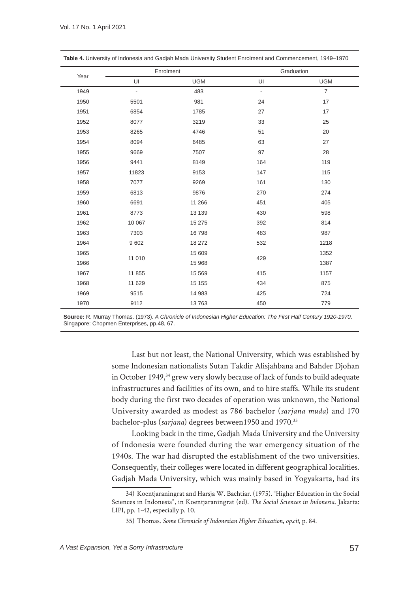|      |                | Enrolment  |                          | Graduation     |
|------|----------------|------------|--------------------------|----------------|
| Year | UI             | <b>UGM</b> | UI                       | <b>UGM</b>     |
| 1949 | $\blacksquare$ | 483        | $\overline{\phantom{a}}$ | $\overline{7}$ |
| 1950 | 5501           | 981        | 24                       | 17             |
| 1951 | 6854           | 1785       | 27                       | 17             |
| 1952 | 8077           | 3219       | 33                       | 25             |
| 1953 | 8265           | 4746       | 51                       | 20             |
| 1954 | 8094           | 6485       | 63                       | 27             |
| 1955 | 9669           | 7507       | 97                       | 28             |
| 1956 | 9441           | 8149       | 164                      | 119            |
| 1957 | 11823          | 9153       | 147                      | 115            |
| 1958 | 7077           | 9269       | 161                      | 130            |
| 1959 | 6813           | 9876       | 270                      | 274            |
| 1960 | 6691           | 11 266     | 451                      | 405            |
| 1961 | 8773           | 13 139     | 430                      | 598            |
| 1962 | 10 067         | 15 275     | 392                      | 814            |
| 1963 | 7303           | 16 798     | 483                      | 987            |
| 1964 | 9602           | 18 27 2    | 532                      | 1218           |
| 1965 |                | 15 609     |                          | 1352           |
| 1966 | 11 010         | 15 968     | 429                      | 1387           |
| 1967 | 11 855         | 15 5 69    | 415                      | 1157           |
| 1968 | 11 629         | 15 15 5    | 434                      | 875            |
| 1969 | 9515           | 14 983     | 425                      | 724            |
| 1970 | 9112           | 13 763     | 450                      | 779            |

**Table 4.** University of Indonesia and Gadjah Mada University Student Enrolment and Commencement, 1949–1970

**Source:** R. Murray Thomas. (1973). *A Chronicle of Indonesian Higher Education: The First Half Century 1920-1970*. Singapore: Chopmen Enterprises, pp.48, 67.

> Last but not least, the National University, which was established by some Indonesian nationalists Sutan Takdir Alisjahbana and Bahder Djohan in October 1949,<sup>34</sup> grew very slowly because of lack of funds to build adequate infrastructures and facilities of its own, and to hire staffs. While its student body during the first two decades of operation was unknown, the National University awarded as modest as 786 bachelor (*sarjana muda*) and 170 bachelor-plus (*sarjana*) degrees between1950 and 1970.35

> Looking back in the time, Gadjah Mada University and the University of Indonesia were founded during the war emergency situation of the 1940s. The war had disrupted the establishment of the two universities. Consequently, their colleges were located in different geographical localities. Gadjah Mada University, which was mainly based in Yogyakarta, had its

<sup>34)</sup> Koentjaraningrat and Harsja W. Bachtiar. (1975). "Higher Education in the Social Sciences in Indonesia", in Koentjaraningrat (ed). *The Social Sciences in Indonesia*. Jakarta: LIPI, pp. 1-42, especially p. 10.

<sup>35)</sup> Thomas. *Some Chronicle of Indonesian Higher Education*, *op.cit*, p. 84.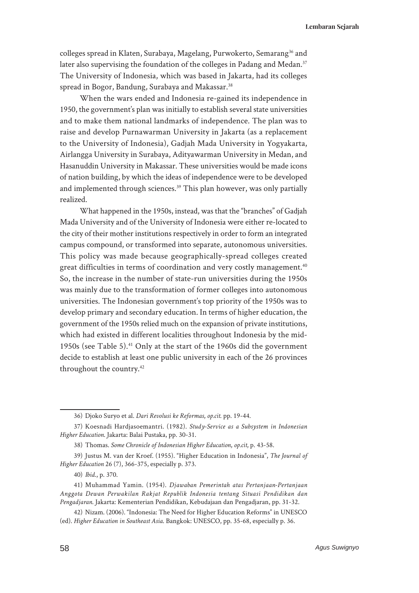**Lembaran Sejarah**

colleges spread in Klaten, Surabaya, Magelang, Purwokerto, Semarang<sup>36</sup> and later also supervising the foundation of the colleges in Padang and Medan.<sup>37</sup> The University of Indonesia, which was based in Jakarta, had its colleges spread in Bogor, Bandung, Surabaya and Makassar.<sup>38</sup>

When the wars ended and Indonesia re-gained its independence in 1950, the government's plan was initially to establish several state universities and to make them national landmarks of independence. The plan was to raise and develop Purnawarman University in Jakarta (as a replacement to the University of Indonesia), Gadjah Mada University in Yogyakarta, Airlangga University in Surabaya, Adityawarman University in Medan, and Hasanuddin University in Makassar. These universities would be made icons of nation building, by which the ideas of independence were to be developed and implemented through sciences.<sup>39</sup> This plan however, was only partially realized.

What happened in the 1950s, instead, was that the "branches" of Gadjah Mada University and of the University of Indonesia were either re-located to the city of their mother institutions respectively in order to form an integrated campus compound, or transformed into separate, autonomous universities. This policy was made because geographically-spread colleges created great difficulties in terms of coordination and very costly management.<sup>40</sup> So, the increase in the number of state-run universities during the 1950s was mainly due to the transformation of former colleges into autonomous universities. The Indonesian government's top priority of the 1950s was to develop primary and secondary education. In terms of higher education, the government of the 1950s relied much on the expansion of private institutions, which had existed in different localities throughout Indonesia by the mid-1950s (see Table 5).<sup>41</sup> Only at the start of the 1960s did the government decide to establish at least one public university in each of the 26 provinces throughout the country.<sup>42</sup>

<sup>36)</sup> Djoko Suryo et al. *Dari Revolusi ke Reformas*, *op.cit*. pp. 19-44.

<sup>37)</sup> Koesnadi Hardjasoemantri. (1982). *Study-Service as a Subsystem in Indonesian Higher Education*. Jakarta: Balai Pustaka, pp. 30-31.

<sup>38)</sup> Thomas. *Some Chronicle of Indonesian Higher Education*, *op.cit*, p. 43-58.

<sup>39)</sup> Justus M. van der Kroef. (1955). "Higher Education in Indonesia", *The Journal of Higher Education* 26 (7), 366-375, especially p. 373.

<sup>40)</sup> *Ibid*., p. 370.

<sup>41)</sup> Muhammad Yamin. (1954). *Djawaban Pemerintah atas Pertanjaan-Pertanjaan Anggota Dewan Perwakilan Rakjat Republik Indonesia tentang Situasi Pendidikan dan Pengadjaran*. Jakarta: Kementerian Pendidikan, Kebudajaan dan Pengadjaran, pp. 31-32.

<sup>42)</sup> Nizam. (2006). "Indonesia: The Need for Higher Education Reforms" in UNESCO (ed). *Higher Education in Southeast Asia*. Bangkok: UNESCO, pp. 35-68, especially p. 36.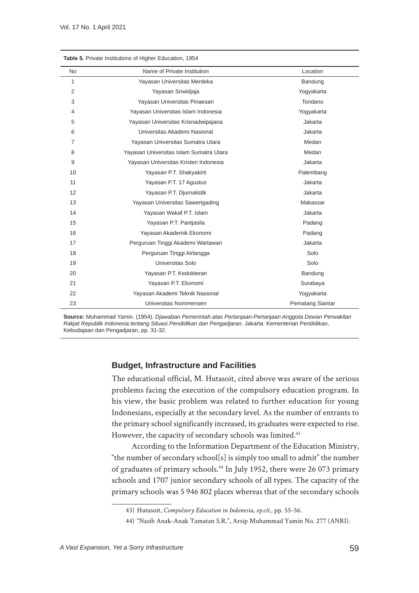| Table 5. Private Institutions of Higher Education, 1954 |                                         |                  |  |  |
|---------------------------------------------------------|-----------------------------------------|------------------|--|--|
| <b>No</b>                                               | Name of Private Institution             | Location         |  |  |
| $\mathbf{1}$                                            | Yayasan Universitas Merdeka             | Bandung          |  |  |
| $\overline{2}$                                          | Yayasan Sriwidjaja                      | Yogyakarta       |  |  |
| 3                                                       | Yayasan Universitas Pinaesan            | Tondano          |  |  |
| 4                                                       | Yayasan Universitas Islam Indonesia     | Yogyakarta       |  |  |
| 5                                                       | Yayasan Universitas Krisnadwipajana     | Jakarta          |  |  |
| 6                                                       | Universitas Akademi Nasional            | Jakarta          |  |  |
| 7                                                       | Yayasan Universitas Sumatra Utara       | Medan            |  |  |
| 8                                                       | Yayasan Universitas Islam Sumatra Utara | Medan            |  |  |
| 9                                                       | Yayasan Universitas Kristen Indonesia   | Jakarta          |  |  |
| 10                                                      | Yayasan P.T. Shakyakirti                | Palembang        |  |  |
| 11                                                      | Yayasan P.T. 17 Agustus                 | Jakarta          |  |  |
| 12                                                      | Yayasan P.T. Djurnalistik               | Jakarta          |  |  |
| 13                                                      | Yayasan Universitas Sawerigading        | Makassar         |  |  |
| 14                                                      | Yayasan Wakaf P.T. Islam                | Jakarta          |  |  |
| 15                                                      | Yayasan P.T. Pantjasila                 | Padang           |  |  |
| 16                                                      | Yayasan Akademik Ekonomi                | Padang           |  |  |
| 17                                                      | Perguruan Tinggi Akademi Wartawan       | Jakarta          |  |  |
| 18                                                      | Perguruan Tinggi Airlangga              | Solo             |  |  |
| 19                                                      | Universitas Solo                        | Solo             |  |  |
| 20                                                      | Yayasan P.T. Kedokteran                 | Bandung          |  |  |
| 21                                                      | Yayasan P.T. Ekonomi                    | Surabaya         |  |  |
| 22                                                      | Yayasan Akademi Teknik Nasional         | Yogyakarta       |  |  |
| 23                                                      | Universitas Nommensen                   | Pematang Siantar |  |  |

**Source:** Muhammad Yamin. (1954). *Djawaban Pemerintah atas Pertanjaan-Pertanjaan Anggota Dewan Perwakilan Rakjat Republik Indonesia tentang Situasi Pendidikan dan Pengadjaran*. Jakarta: Kementerian Pendidikan, Kebudajaan dan Pengadjaran, pp. 31-32.

## **Budget, Infrastructure and Facilities**

The educational official, M. Hutasoit, cited above was aware of the serious problems facing the execution of the compulsory education program. In his view, the basic problem was related to further education for young Indonesians, especially at the secondary level. As the number of entrants to the primary school significantly increased, its graduates were expected to rise. However, the capacity of secondary schools was limited.<sup>43</sup>

According to the Information Department of the Education Ministry, "the number of secondary school[s] is simply too small to admit" the number of graduates of primary schools.44 In July 1952, there were 26 073 primary schools and 1707 junior secondary schools of all types. The capacity of the primary schools was 5 946 802 places whereas that of the secondary schools

<sup>43)</sup> Hutasoit, *Compulsory Education in Indonesia*, *op.cit*., pp. 55-56.

<sup>44)</sup> "Nasib Anak-Anak Tamatan S.R.", Arsip Muhammad Yamin No. 277 (ANRI).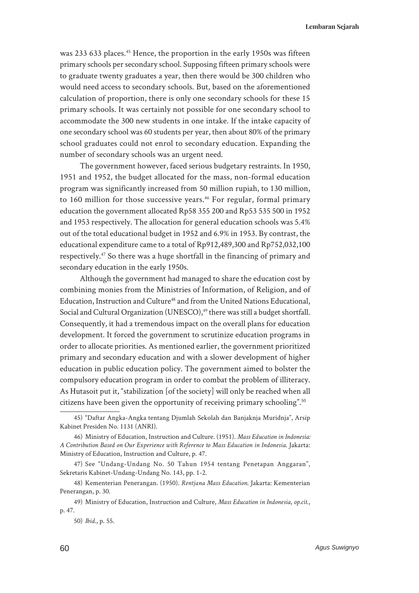was 233 633 places.<sup>45</sup> Hence, the proportion in the early 1950s was fifteen primary schools per secondary school. Supposing fifteen primary schools were to graduate twenty graduates a year, then there would be 300 children who would need access to secondary schools. But, based on the aforementioned calculation of proportion, there is only one secondary schools for these 15 primary schools. It was certainly not possible for one secondary school to accommodate the 300 new students in one intake. If the intake capacity of one secondary school was 60 students per year, then about 80% of the primary school graduates could not enrol to secondary education. Expanding the number of secondary schools was an urgent need.

The government however, faced serious budgetary restraints. In 1950, 1951 and 1952, the budget allocated for the mass, non-formal education program was significantly increased from 50 million rupiah, to 130 million, to 160 million for those successive years.<sup>46</sup> For regular, formal primary education the government allocated Rp58 355 200 and Rp53 535 500 in 1952 and 1953 respectively. The allocation for general education schools was 5.4% out of the total educational budget in 1952 and 6.9% in 1953. By contrast, the educational expenditure came to a total of Rp912,489,300 and Rp752,032,100 respectively.47 So there was a huge shortfall in the financing of primary and secondary education in the early 1950s.

Although the government had managed to share the education cost by combining monies from the Ministries of Information, of Religion, and of Education, Instruction and Culture<sup>48</sup> and from the United Nations Educational, Social and Cultural Organization (UNESCO),<sup>49</sup> there was still a budget shortfall. Consequently, it had a tremendous impact on the overall plans for education development. It forced the government to scrutinize education programs in order to allocate priorities. As mentioned earlier, the government prioritized primary and secondary education and with a slower development of higher education in public education policy. The government aimed to bolster the compulsory education program in order to combat the problem of illiteracy. As Hutasoit put it, "stabilization [of the society] will only be reached when all citizens have been given the opportunity of receiving primary schooling".50

<sup>45)</sup> "Daftar Angka-Angka tentang Djumlah Sekolah dan Banjaknja Muridnja", Arsip Kabinet Presiden No. 1131 (ANRI).

<sup>46)</sup> Ministry of Education, Instruction and Culture. (1951). *Mass Education in Indonesia: A Contribution Based on Our Experience with Reference to Mass Education in Indonesia*. Jakarta: Ministry of Education, Instruction and Culture, p. 47.

<sup>47)</sup> See "Undang-Undang No. 50 Tahun 1954 tentang Penetapan Anggaran", Sekretaris Kabinet-Undang-Undang No. 143, pp. 1-2.

<sup>48)</sup> Kementerian Penerangan. (1950). *Rentjana Mass Education*. Jakarta: Kementerian Penerangan, p. 30.

<sup>49)</sup> Ministry of Education, Instruction and Culture, *Mass Education in Indonesia*, *op.cit*., p. 47.

<sup>50)</sup> *Ibid*., p. 55.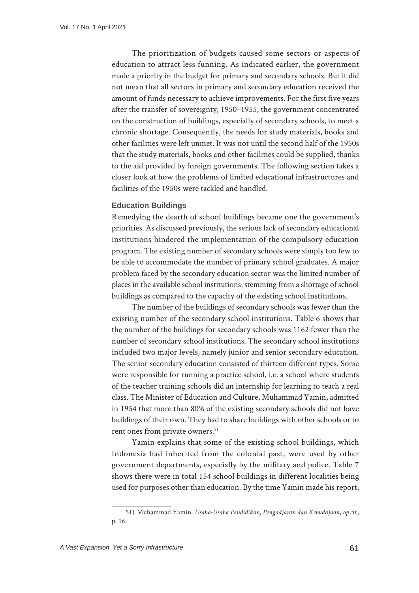The prioritization of budgets caused some sectors or aspects of education to attract less funning. As indicated earlier, the government made a priority in the budget for primary and secondary schools. But it did not mean that all sectors in primary and secondary education received the amount of funds necessary to achieve improvements. For the first five years after the transfer of sovereignty, 1950–1955, the government concentrated on the construction of buildings, especially of secondary schools, to meet a chronic shortage. Consequently, the needs for study materials, books and other facilities were left unmet. It was not until the second half of the 1950s that the study materials, books and other facilities could be supplied, thanks to the aid provided by foreign governments. The following section takes a closer look at how the problems of limited educational infrastructures and facilities of the 1950s were tackled and handled.

## **Education Buildings**

Remedying the dearth of school buildings became one the government's priorities. As discussed previously, the serious lack of secondary educational institutions hindered the implementation of the compulsory education program. The existing number of secondary schools were simply too few to be able to accommodate the number of primary school graduates. A major problem faced by the secondary education sector was the limited number of places in the available school institutions, stemming from a shortage of school buildings as compared to the capacity of the existing school institutions.

The number of the buildings of secondary schools was fewer than the existing number of the secondary school institutions. Table 6 shows that the number of the buildings for secondary schools was 1162 fewer than the number of secondary school institutions. The secondary school institutions included two major levels, namely junior and senior secondary education. The senior secondary education consisted of thirteen different types. Some were responsible for running a practice school, i.e. a school where students of the teacher training schools did an internship for learning to teach a real class. The Minister of Education and Culture, Muhammad Yamin, admitted in 1954 that more than 80% of the existing secondary schools did not have buildings of their own. They had to share buildings with other schools or to rent ones from private owners.<sup>51</sup>

Yamin explains that some of the existing school buildings, which Indonesia had inherited from the colonial past, were used by other government departments, especially by the military and police. Table 7 shows there were in total 154 school buildings in different localities being used for purposes other than education. By the time Yamin made his report,

<sup>51)</sup> Muhammad Yamin. *Usaha-Usaha Pendidikan, Pengadjaran dan Kebudajaan*, *op.cit.*, p. 16.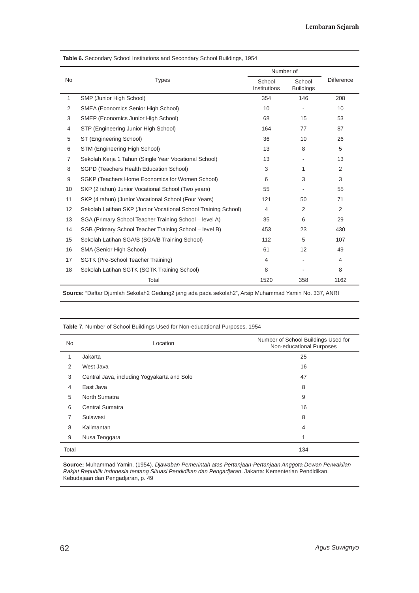|                |                                                                |                        | Number of                  |                   |  |
|----------------|----------------------------------------------------------------|------------------------|----------------------------|-------------------|--|
| No.            | <b>Types</b>                                                   | School<br>Institutions | School<br><b>Buildings</b> | <b>Difference</b> |  |
| $\mathbf{1}$   | SMP (Junior High School)                                       | 354                    | 146                        | 208               |  |
| 2              | SMEA (Economics Senior High School)                            | 10                     |                            | 10                |  |
| 3              | SMEP (Economics Junior High School)                            | 68                     | 15                         | 53                |  |
| 4              | STP (Engineering Junior High School)                           | 164                    | 77                         | 87                |  |
| 5              | ST (Engineering School)                                        | 36                     | 10                         | 26                |  |
| 6              | STM (Engineering High School)                                  | 13                     | 8                          | 5                 |  |
| $\overline{7}$ | Sekolah Kerja 1 Tahun (Single Year Vocational School)          | 13                     |                            | 13                |  |
| 8              | SGPD (Teachers Health Education School)                        | 3                      | 1                          | $\overline{2}$    |  |
| 9              | SGKP (Teachers Home Economics for Women School)                | 6                      | 3                          | 3                 |  |
| 10             | SKP (2 tahun) Junior Vocational School (Two years)             | 55                     |                            | 55                |  |
| 11             | SKP (4 tahun) (Junior Vocational School (Four Years)           | 121                    | 50                         | 71                |  |
| 12             | Sekolah Latihan SKP (Junior Vocational School Training School) | $\overline{4}$         | 2                          | $\overline{2}$    |  |
| 13             | SGA (Primary School Teacher Training School - level A)         | 35                     | 6                          | 29                |  |
| 14             | SGB (Primary School Teacher Training School - level B)         | 453                    | 23                         | 430               |  |
| 15             | Sekolah Latihan SGA/B (SGA/B Training School)                  | 112                    | 5                          | 107               |  |
| 16             | SMA (Senior High School)                                       | 61                     | 12                         | 49                |  |
| 17             | SGTK (Pre-School Teacher Training)                             | 4                      |                            | 4                 |  |
| 18             | Sekolah Latihan SGTK (SGTK Training School)                    | 8                      |                            | 8                 |  |
|                | Total                                                          | 1520                   | 358                        | 1162              |  |

**Table 6.** Secondary School Institutions and Secondary School Buildings, 1954

**Source:** "Daftar Djumlah Sekolah2 Gedung2 jang ada pada sekolah2", Arsip Muhammad Yamin No. 337, ANRI

**Table 7.** Number of School Buildings Used for Non-educational Purposes, 1954

| <b>No</b>      | Location                                    | Number of School Buildings Used for<br>Non-educational Purposes |
|----------------|---------------------------------------------|-----------------------------------------------------------------|
| $\mathbf{1}$   | Jakarta                                     | 25                                                              |
| 2              | West Java                                   | 16                                                              |
| 3              | Central Java, including Yogyakarta and Solo | 47                                                              |
| $\overline{4}$ | East Java                                   | 8                                                               |
| 5              | North Sumatra                               | 9                                                               |
| 6              | Central Sumatra                             | 16                                                              |
| 7              | Sulawesi                                    | 8                                                               |
| 8              | Kalimantan                                  | $\overline{4}$                                                  |
| 9              | Nusa Tenggara                               | 1                                                               |
| Total          |                                             | 134                                                             |

**Source:** Muhammad Yamin. (1954). *Djawaban Pemerintah atas Pertanjaan-Pertanjaan Anggota Dewan Perwakilan Rakjat Republik Indonesia tentang Situasi Pendidikan dan Pengadjaran*. Jakarta: Kementerian Pendidikan, Kebudajaan dan Pengadjaran, p. 49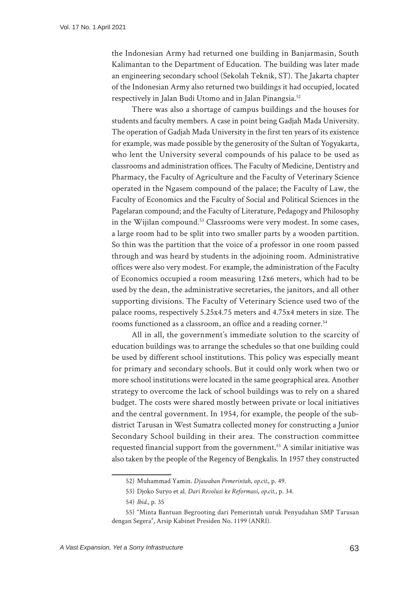the Indonesian Army had returned one building in Banjarmasin, South Kalimantan to the Department of Education. The building was later made an engineering secondary school (Sekolah Teknik, ST). The Jakarta chapter of the Indonesian Army also returned two buildings it had occupied, located respectively in Jalan Budi Utomo and in Jalan Pinangsia.52

There was also a shortage of campus buildings and the houses for students and faculty members. A case in point being Gadjah Mada University. The operation of Gadjah Mada University in the first ten years of its existence for example, was made possible by the generosity of the Sultan of Yogyakarta, who lent the University several compounds of his palace to be used as classrooms and administration offices. The Faculty of Medicine, Dentistry and Pharmacy, the Faculty of Agriculture and the Faculty of Veterinary Science operated in the Ngasem compound of the palace; the Faculty of Law, the Faculty of Economics and the Faculty of Social and Political Sciences in the Pagelaran compound; and the Faculty of Literature, Pedagogy and Philosophy in the Wijilan compound.<sup>53</sup> Classrooms were very modest. In some cases, a large room had to be split into two smaller parts by a wooden partition. So thin was the partition that the voice of a professor in one room passed through and was heard by students in the adjoining room. Administrative offices were also very modest. For example, the administration of the Faculty of Economics occupied a room measuring 12x6 meters, which had to be used by the dean, the administrative secretaries, the janitors, and all other supporting divisions. The Faculty of Veterinary Science used two of the palace rooms, respectively 5.25x4.75 meters and 4.75x4 meters in size. The rooms functioned as a classroom, an office and a reading corner.<sup>54</sup>

All in all, the government's immediate solution to the scarcity of education buildings was to arrange the schedules so that one building could be used by different school institutions. This policy was especially meant for primary and secondary schools. But it could only work when two or more school institutions were located in the same geographical area. Another strategy to overcome the lack of school buildings was to rely on a shared budget. The costs were shared mostly between private or local initiatives and the central government. In 1954, for example, the people of the subdistrict Tarusan in West Sumatra collected money for constructing a Junior Secondary School building in their area. The construction committee requested financial support from the government.<sup>55</sup> A similar initiative was also taken by the people of the Regency of Bengkalis. In 1957 they constructed

<sup>52)</sup> Muhammad Yamin. *Djawaban Pemerintah*, *op.cit.*, p. 49.

<sup>53)</sup> Djoko Suryo et al. *Dari Revolusi ke Reformasi*, *op.cit*., p. 34.

<sup>54)</sup> *Ibid.*, p. 35

<sup>55)</sup> "Minta Bantuan Begrooting dari Pemerintah untuk Penyudahan SMP Tarusan dengan Segera", Arsip Kabinet Presiden No. 1199 (ANRI).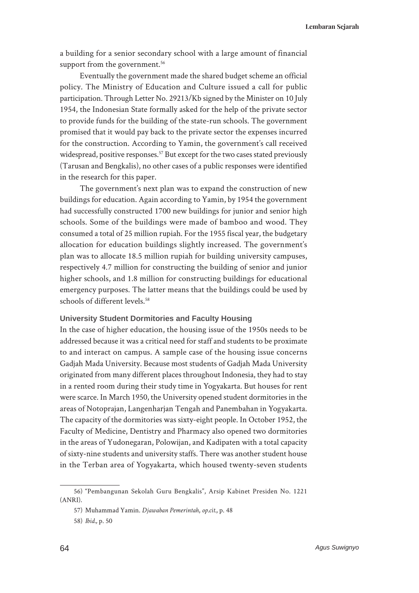**Lembaran Sejarah**

a building for a senior secondary school with a large amount of financial support from the government.<sup>56</sup>

Eventually the government made the shared budget scheme an official policy. The Ministry of Education and Culture issued a call for public participation. Through Letter No. 29213/Kb signed by the Minister on 10 July 1954, the Indonesian State formally asked for the help of the private sector to provide funds for the building of the state-run schools. The government promised that it would pay back to the private sector the expenses incurred for the construction. According to Yamin, the government's call received widespread, positive responses.<sup>57</sup> But except for the two cases stated previously (Tarusan and Bengkalis), no other cases of a public responses were identified in the research for this paper.

The government's next plan was to expand the construction of new buildings for education. Again according to Yamin, by 1954 the government had successfully constructed 1700 new buildings for junior and senior high schools. Some of the buildings were made of bamboo and wood. They consumed a total of 25 million rupiah. For the 1955 fiscal year, the budgetary allocation for education buildings slightly increased. The government's plan was to allocate 18.5 million rupiah for building university campuses, respectively 4.7 million for constructing the building of senior and junior higher schools, and 1.8 million for constructing buildings for educational emergency purposes. The latter means that the buildings could be used by schools of different levels.<sup>58</sup>

## **University Student Dormitories and Faculty Housing**

In the case of higher education, the housing issue of the 1950s needs to be addressed because it was a critical need for staff and students to be proximate to and interact on campus. A sample case of the housing issue concerns Gadjah Mada University. Because most students of Gadjah Mada University originated from many different places throughout Indonesia, they had to stay in a rented room during their study time in Yogyakarta. But houses for rent were scarce. In March 1950, the University opened student dormitories in the areas of Notoprajan, Langenharjan Tengah and Panembahan in Yogyakarta. The capacity of the dormitories was sixty-eight people. In October 1952, the Faculty of Medicine, Dentistry and Pharmacy also opened two dormitories in the areas of Yudonegaran, Polowijan, and Kadipaten with a total capacity of sixty-nine students and university staffs. There was another student house in the Terban area of Yogyakarta, which housed twenty-seven students

<sup>56)</sup> "Pembangunan Sekolah Guru Bengkalis", Arsip Kabinet Presiden No. 1221 (ANRI).

<sup>57)</sup> Muhammad Yamin. *Djawaban Pemerintah*, *op.cit.*, p. 48

<sup>58)</sup> *Ibid.,* p. 50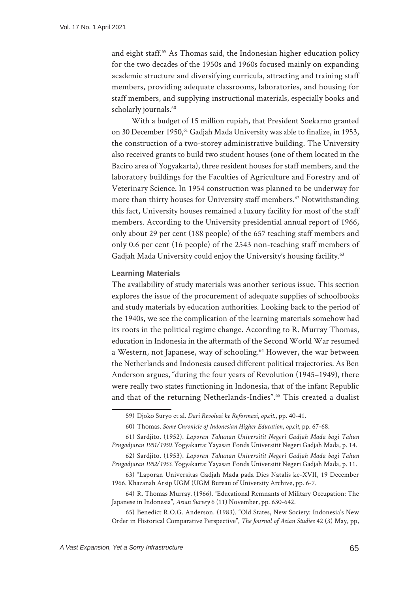and eight staff.59 As Thomas said, the Indonesian higher education policy for the two decades of the 1950s and 1960s focused mainly on expanding academic structure and diversifying curricula, attracting and training staff members, providing adequate classrooms, laboratories, and housing for staff members, and supplying instructional materials, especially books and scholarly journals.<sup>60</sup>

With a budget of 15 million rupiah, that President Soekarno granted on 30 December 1950,<sup>61</sup> Gadjah Mada University was able to finalize, in 1953, the construction of a two-storey administrative building. The University also received grants to build two student houses (one of them located in the Baciro area of Yogyakarta), three resident houses for staff members, and the laboratory buildings for the Faculties of Agriculture and Forestry and of Veterinary Science. In 1954 construction was planned to be underway for more than thirty houses for University staff members.<sup>62</sup> Notwithstanding this fact, University houses remained a luxury facility for most of the staff members. According to the University presidential annual report of 1966, only about 29 per cent (188 people) of the 657 teaching staff members and only 0.6 per cent (16 people) of the 2543 non-teaching staff members of Gadjah Mada University could enjoy the University's housing facility.<sup>63</sup>

#### **Learning Materials**

The availability of study materials was another serious issue. This section explores the issue of the procurement of adequate supplies of schoolbooks and study materials by education authorities. Looking back to the period of the 1940s, we see the complication of the learning materials somehow had its roots in the political regime change. According to R. Murray Thomas, education in Indonesia in the aftermath of the Second World War resumed a Western, not Japanese, way of schooling.<sup>64</sup> However, the war between the Netherlands and Indonesia caused different political trajectories. As Ben Anderson argues, "during the four years of Revolution (1945–1949), there were really two states functioning in Indonesia, that of the infant Republic and that of the returning Netherlands-Indies".65 This created a dualist

<sup>59)</sup> Djoko Suryo et al. *Dari Revolusi ke Reformasi*, *op.cit*., pp. 40-41.

<sup>60)</sup> Thomas. *Some Chronicle of Indonesian Higher Education*, *op.cit*, pp. 67-68.

<sup>61)</sup> Sardjito. (1952). *Laporan Tahunan Universitit Negeri Gadjah Mada bagi Tahun Pengadjaran 1951/1950*. Yogyakarta: Yayasan Fonds Universitit Negeri Gadjah Mada, p. 14.

<sup>62)</sup> Sardjito. (1953). *Laporan Tahunan Universitit Negeri Gadjah Mada bagi Tahun Pengadjaran 1952/1953*. Yogyakarta: Yayasan Fonds Universitit Negeri Gadjah Mada, p. 11.

<sup>63)</sup> "Laporan Universitas Gadjah Mada pada Dies Natalis ke-XVII, 19 December 1966. Khazanah Arsip UGM (UGM Bureau of University Archive, pp. 6-7.

<sup>64)</sup> R. Thomas Murray. (1966). "Educational Remnants of Military Occupation: The Japanese in Indonesia", *Asian Survey* 6 (11) November, pp. 630-642.

<sup>65)</sup> Benedict R.O.G. Anderson. (1983). "Old States, New Society: Indonesia's New Order in Historical Comparative Perspective", *The Journal of Asian Studies* 42 (3) May, pp,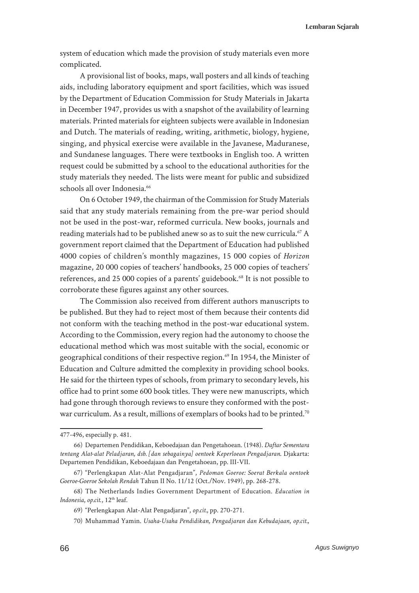system of education which made the provision of study materials even more complicated.

A provisional list of books, maps, wall posters and all kinds of teaching aids, including laboratory equipment and sport facilities, which was issued by the Department of Education Commission for Study Materials in Jakarta in December 1947, provides us with a snapshot of the availability of learning materials. Printed materials for eighteen subjects were available in Indonesian and Dutch. The materials of reading, writing, arithmetic, biology, hygiene, singing, and physical exercise were available in the Javanese, Maduranese, and Sundanese languages. There were textbooks in English too. A written request could be submitted by a school to the educational authorities for the study materials they needed. The lists were meant for public and subsidized schools all over Indonesia.<sup>66</sup>

On 6 October 1949, the chairman of the Commission for Study Materials said that any study materials remaining from the pre-war period should not be used in the post-war, reformed curricula. New books, journals and reading materials had to be published anew so as to suit the new curricula.<sup>67</sup> A government report claimed that the Department of Education had published 4000 copies of children's monthly magazines, 15 000 copies of *Horizon* magazine, 20 000 copies of teachers' handbooks, 25 000 copies of teachers' references, and 25 000 copies of a parents' guidebook.<sup>68</sup> It is not possible to corroborate these figures against any other sources.

The Commission also received from different authors manuscripts to be published. But they had to reject most of them because their contents did not conform with the teaching method in the post-war educational system. According to the Commission, every region had the autonomy to choose the educational method which was most suitable with the social, economic or geographical conditions of their respective region.<sup>69</sup> In 1954, the Minister of Education and Culture admitted the complexity in providing school books. He said for the thirteen types of schools, from primary to secondary levels, his office had to print some 600 book titles. They were new manuscripts, which had gone through thorough reviews to ensure they conformed with the postwar curriculum. As a result, millions of exemplars of books had to be printed.<sup>70</sup>

<sup>477-496,</sup> especially p. 481.

<sup>66)</sup> Departemen Pendidikan, Keboedajaan dan Pengetahoean. (1948). *Daftar Sementara tentang Alat-alat Peladjaran, dsb. [dan sebagainya] oentoek Keperloean Pengadjaran*. Djakarta: Departemen Pendidikan, Keboedajaan dan Pengetahoean, pp. III-VII.

<sup>67)</sup> "Perlengkapan Alat-Alat Pengadjaran", *Pedoman Goeroe: Soerat Berkala oentoek Goeroe-Goeroe Sekolah Rendah* Tahun II No. 11/12 (Oct./Nov. 1949), pp. 268-278.

<sup>68)</sup> The Netherlands Indies Government Department of Education. *Education in Indonesia, op.cit.,* 12<sup>th</sup> leaf.

<sup>69)</sup> "Perlengkapan Alat-Alat Pengadjaran", *op.cit.*, pp. 270-271.

<sup>70)</sup> Muhammad Yamin. *Usaha-Usaha Pendidikan, Pengadjaran dan Kebudajaan*, *op.cit.*,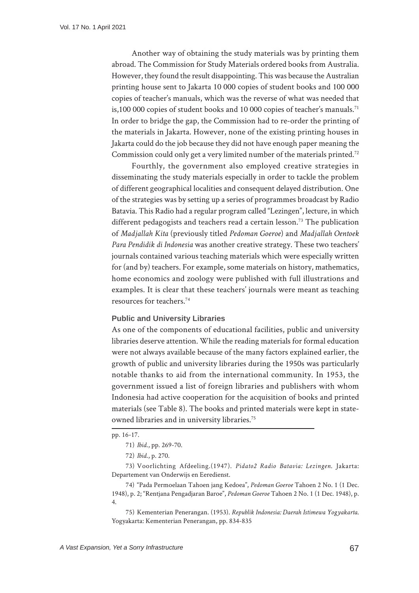Another way of obtaining the study materials was by printing them abroad. The Commission for Study Materials ordered books from Australia. However, they found the result disappointing. This was because the Australian printing house sent to Jakarta 10 000 copies of student books and 100 000 copies of teacher's manuals, which was the reverse of what was needed that is,100 000 copies of student books and 10 000 copies of teacher's manuals.<sup>71</sup> In order to bridge the gap, the Commission had to re-order the printing of the materials in Jakarta. However, none of the existing printing houses in Jakarta could do the job because they did not have enough paper meaning the Commission could only get a very limited number of the materials printed.<sup>72</sup>

Fourthly, the government also employed creative strategies in disseminating the study materials especially in order to tackle the problem of different geographical localities and consequent delayed distribution. One of the strategies was by setting up a series of programmes broadcast by Radio Batavia. This Radio had a regular program called "Lezingen", lecture, in which different pedagogists and teachers read a certain lesson.<sup>73</sup> The publication of *Madjallah Kita* (previously titled *Pedoman Goeroe*) and *Madjallah Oentoek Para Pendidik di Indonesia* was another creative strategy. These two teachers' journals contained various teaching materials which were especially written for (and by) teachers. For example, some materials on history, mathematics, home economics and zoology were published with full illustrations and examples. It is clear that these teachers' journals were meant as teaching resources for teachers.74

#### **Public and University Libraries**

As one of the components of educational facilities, public and university libraries deserve attention. While the reading materials for formal education were not always available because of the many factors explained earlier, the growth of public and university libraries during the 1950s was particularly notable thanks to aid from the international community. In 1953, the government issued a list of foreign libraries and publishers with whom Indonesia had active cooperation for the acquisition of books and printed materials (see Table 8). The books and printed materials were kept in stateowned libraries and in university libraries.<sup>75</sup>

75) Kementerian Penerangan. (1953). *Republik Indonesia: Daerah Istimewa Yogyakarta*. Yogyakarta: Kementerian Penerangan, pp. 834-835

pp. 16-17.

<sup>71)</sup> *Ibid*., pp. 269-70.

<sup>72)</sup> *Ibid*., p. 270.

<sup>73)</sup> Voorlichting Afdeeling.(1947). *Pidato2 Radio Batavia: Lezingen*. Jakarta: Departement van Onderwijs en Eeredienst.

<sup>74)</sup> "Pada Permoelaan Tahoen jang Kedoea", *Pedoman Goeroe* Tahoen 2 No. 1 (1 Dec. 1948), p. 2; "Rentjana Pengadjaran Baroe", *Pedoman Goeroe* Tahoen 2 No. 1 (1 Dec. 1948), p. 4.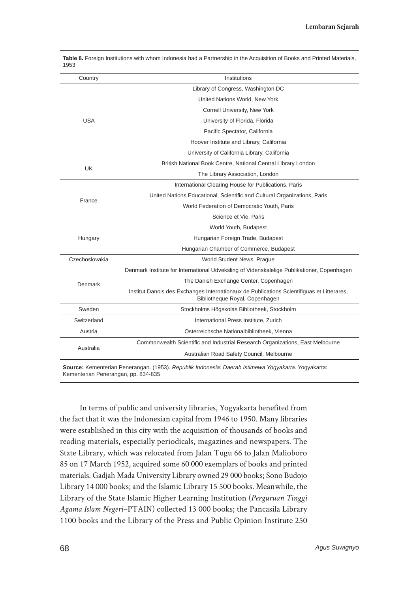| Country        | Institutions                                                                                                                |
|----------------|-----------------------------------------------------------------------------------------------------------------------------|
|                | Library of Congress, Washington DC                                                                                          |
|                | United Nations World, New York                                                                                              |
|                | Cornell University, New York                                                                                                |
| <b>USA</b>     | University of Florida, Florida                                                                                              |
|                | Pacific Spectator, California                                                                                               |
|                | Hoover Institute and Library, California                                                                                    |
|                | University of California Library, California                                                                                |
| <b>UK</b>      | British National Book Centre, National Central Library London                                                               |
|                | The Library Association, London                                                                                             |
|                | International Clearing House for Publications, Paris                                                                        |
| France         | United Nations Educational, Scientific and Cultural Organizations, Paris                                                    |
|                | World Federation of Democratic Youth, Paris                                                                                 |
|                | Science et Vie, Paris                                                                                                       |
|                | World Youth, Budapest                                                                                                       |
| Hungary        | Hungarian Foreign Trade, Budapest                                                                                           |
|                | Hungarian Chamber of Commerce, Budapest                                                                                     |
| Czechoslovakia | World Student News, Prague                                                                                                  |
|                | Denmark Institute for International Udveksling of Videnskalelige Publikationer, Copenhagen                                  |
| Denmark        | The Danish Exchange Center, Copenhagen                                                                                      |
|                | Institut Danois des Exchanges Internationaux de Publications Scientifiguas et Litterares,<br>Bibliotheque Royal, Copenhagen |
| Sweden         | Stockholms Högskolas Bibliotheek, Stockholm                                                                                 |
| Switzerland    | International Press Institute, Zurich                                                                                       |
| Austria        | Osterreichsche Nationalbibliotheek, Vienna                                                                                  |
|                | Commonwealth Scientific and Industrial Research Organizations, East Melbourne                                               |
| Australia      | Australian Road Safety Council, Melbourne                                                                                   |
|                |                                                                                                                             |

**Table 8.** Foreign Institutions with whom Indonesia had a Partnership in the Acquisition of Books and Printed Materials, 1953

**Source:** Kementerian Penerangan. (1953). *Republik Indonesia: Daerah Istimewa Yogyakarta*. Yogyakarta: Kementerian Penerangan, pp. 834-835

In terms of public and university libraries, Yogyakarta benefited from the fact that it was the Indonesian capital from 1946 to 1950. Many libraries were established in this city with the acquisition of thousands of books and reading materials, especially periodicals, magazines and newspapers. The State Library, which was relocated from Jalan Tugu 66 to Jalan Malioboro 85 on 17 March 1952, acquired some 60 000 exemplars of books and printed materials. Gadjah Mada University Library owned 29 000 books; Sono Budojo Library 14 000 books; and the Islamic Library 15 500 books. Meanwhile, the Library of the State Islamic Higher Learning Institution (*Perguruan Tinggi Agama Islam Negeri*–PTAIN) collected 13 000 books; the Pancasila Library 1100 books and the Library of the Press and Public Opinion Institute 250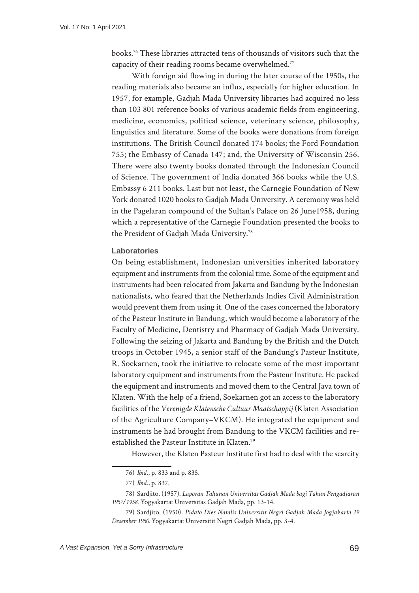books.76 These libraries attracted tens of thousands of visitors such that the capacity of their reading rooms became overwhelmed.<sup>77</sup>

With foreign aid flowing in during the later course of the 1950s, the reading materials also became an influx, especially for higher education. In 1957, for example, Gadjah Mada University libraries had acquired no less than 103 801 reference books of various academic fields from engineering, medicine, economics, political science, veterinary science, philosophy, linguistics and literature. Some of the books were donations from foreign institutions. The British Council donated 174 books; the Ford Foundation 755; the Embassy of Canada 147; and, the University of Wisconsin 256. There were also twenty books donated through the Indonesian Council of Science. The government of India donated 366 books while the U.S. Embassy 6 211 books. Last but not least, the Carnegie Foundation of New York donated 1020 books to Gadjah Mada University. A ceremony was held in the Pagelaran compound of the Sultan's Palace on 26 June1958, during which a representative of the Carnegie Foundation presented the books to the President of Gadjah Mada University.78

#### **Laboratories**

On being establishment, Indonesian universities inherited laboratory equipment and instruments from the colonial time. Some of the equipment and instruments had been relocated from Jakarta and Bandung by the Indonesian nationalists, who feared that the Netherlands Indies Civil Administration would prevent them from using it. One of the cases concerned the laboratory of the Pasteur Institute in Bandung, which would become a laboratory of the Faculty of Medicine, Dentistry and Pharmacy of Gadjah Mada University. Following the seizing of Jakarta and Bandung by the British and the Dutch troops in October 1945, a senior staff of the Bandung's Pasteur Institute, R. Soekarnen, took the initiative to relocate some of the most important laboratory equipment and instruments from the Pasteur Institute. He packed the equipment and instruments and moved them to the Central Java town of Klaten. With the help of a friend, Soekarnen got an access to the laboratory facilities of the *Verenigde Klatensche Cultuur Maatschappij* (Klaten Association of the Agriculture Company–VKCM). He integrated the equipment and instruments he had brought from Bandung to the VKCM facilities and reestablished the Pasteur Institute in Klaten.79

However, the Klaten Pasteur Institute first had to deal with the scarcity

<sup>76)</sup> *Ibid*., p. 833 and p. 835.

<sup>77)</sup> *Ibid*., p. 837.

<sup>78)</sup> Sardjito. (1957). *Laporan Tahunan Universitas Gadjah Mada bagi Tahun Pengadjaran 1957/1958*. Yogyakarta: Universitas Gadjah Mada, pp. 13-14.

<sup>79)</sup> Sardjito. (1950). *Pidato Dies Natalis Universitit Negri Gadjah Mada Jogjakarta 19 Desember 1950.* Yogyakarta: Universitit Negri Gadjah Mada, pp. 3-4.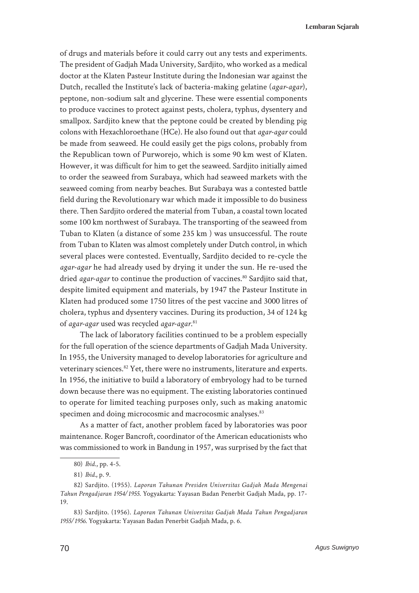**Lembaran Sejarah**

of drugs and materials before it could carry out any tests and experiments. The president of Gadjah Mada University, Sardjito, who worked as a medical doctor at the Klaten Pasteur Institute during the Indonesian war against the Dutch, recalled the Institute's lack of bacteria-making gelatine (*agar-agar*), peptone, non-sodium salt and glycerine. These were essential components to produce vaccines to protect against pests, cholera, typhus, dysentery and smallpox. Sardjito knew that the peptone could be created by blending pig colons with Hexachloroethane (HCe). He also found out that *agar-agar* could be made from seaweed. He could easily get the pigs colons, probably from the Republican town of Purworejo, which is some 90 km west of Klaten. However, it was difficult for him to get the seaweed. Sardjito initially aimed to order the seaweed from Surabaya, which had seaweed markets with the seaweed coming from nearby beaches. But Surabaya was a contested battle field during the Revolutionary war which made it impossible to do business there. Then Sardjito ordered the material from Tuban, a coastal town located some 100 km northwest of Surabaya. The transporting of the seaweed from Tuban to Klaten (a distance of some 235 km ) was unsuccessful. The route from Tuban to Klaten was almost completely under Dutch control, in which several places were contested. Eventually, Sardjito decided to re-cycle the *agar-agar* he had already used by drying it under the sun. He re-used the dried *agar-agar* to continue the production of vaccines.<sup>80</sup> Sardjito said that, despite limited equipment and materials, by 1947 the Pasteur Institute in Klaten had produced some 1750 litres of the pest vaccine and 3000 litres of cholera, typhus and dysentery vaccines. During its production, 34 of 124 kg of *agar-agar* used was recycled *agar-agar*. 81

The lack of laboratory facilities continued to be a problem especially for the full operation of the science departments of Gadjah Mada University. In 1955, the University managed to develop laboratories for agriculture and veterinary sciences.<sup>82</sup> Yet, there were no instruments, literature and experts. In 1956, the initiative to build a laboratory of embryology had to be turned down because there was no equipment. The existing laboratories continued to operate for limited teaching purposes only, such as making anatomic specimen and doing microcosmic and macrocosmic analyses.<sup>83</sup>

As a matter of fact, another problem faced by laboratories was poor maintenance. Roger Bancroft, coordinator of the American educationists who was commissioned to work in Bandung in 1957, was surprised by the fact that

<sup>80)</sup> *Ibid*., pp. 4-5.

<sup>81)</sup> *Ibid.*, p. 9.

<sup>82)</sup> Sardjito. (1955). *Laporan Tahunan Presiden Universitas Gadjah Mada Mengenai Tahun Pengadjaran 1954/1955*. Yogyakarta: Yayasan Badan Penerbit Gadjah Mada, pp. 17- 19.

<sup>83)</sup> Sardjito. (1956). *Laporan Tahunan Universitas Gadjah Mada Tahun Pengadjaran 1955/1956*. Yogyakarta: Yayasan Badan Penerbit Gadjah Mada, p. 6.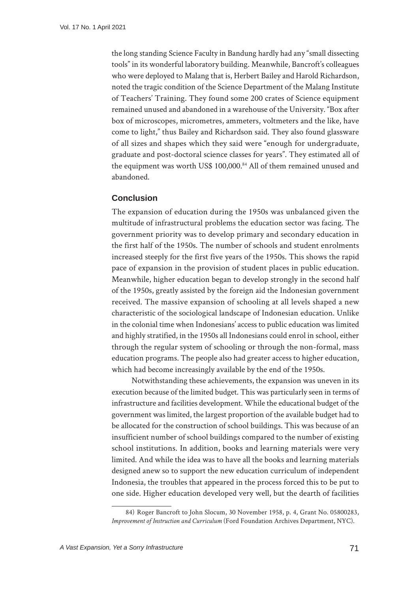the long standing Science Faculty in Bandung hardly had any "small dissecting tools" in its wonderful laboratory building. Meanwhile, Bancroft's colleagues who were deployed to Malang that is, Herbert Bailey and Harold Richardson, noted the tragic condition of the Science Department of the Malang Institute of Teachers' Training. They found some 200 crates of Science equipment remained unused and abandoned in a warehouse of the University. "Box after box of microscopes, micrometres, ammeters, voltmeters and the like, have come to light," thus Bailey and Richardson said. They also found glassware of all sizes and shapes which they said were "enough for undergraduate, graduate and post-doctoral science classes for years". They estimated all of the equipment was worth US\$ 100,000.84 All of them remained unused and abandoned.

# **Conclusion**

The expansion of education during the 1950s was unbalanced given the multitude of infrastructural problems the education sector was facing. The government priority was to develop primary and secondary education in the first half of the 1950s. The number of schools and student enrolments increased steeply for the first five years of the 1950s. This shows the rapid pace of expansion in the provision of student places in public education. Meanwhile, higher education began to develop strongly in the second half of the 1950s, greatly assisted by the foreign aid the Indonesian government received. The massive expansion of schooling at all levels shaped a new characteristic of the sociological landscape of Indonesian education. Unlike in the colonial time when Indonesians' access to public education was limited and highly stratified, in the 1950s all Indonesians could enrol in school, either through the regular system of schooling or through the non-formal, mass education programs. The people also had greater access to higher education, which had become increasingly available by the end of the 1950s.

Notwithstanding these achievements, the expansion was uneven in its execution because of the limited budget. This was particularly seen in terms of infrastructure and facilities development. While the educational budget of the government was limited, the largest proportion of the available budget had to be allocated for the construction of school buildings. This was because of an insufficient number of school buildings compared to the number of existing school institutions. In addition, books and learning materials were very limited. And while the idea was to have all the books and learning materials designed anew so to support the new education curriculum of independent Indonesia, the troubles that appeared in the process forced this to be put to one side. Higher education developed very well, but the dearth of facilities

<sup>84)</sup> Roger Bancroft to John Slocum, 30 November 1958, p. 4, Grant No. 05800283, *Improvement of Instruction and Curriculum* (Ford Foundation Archives Department, NYC).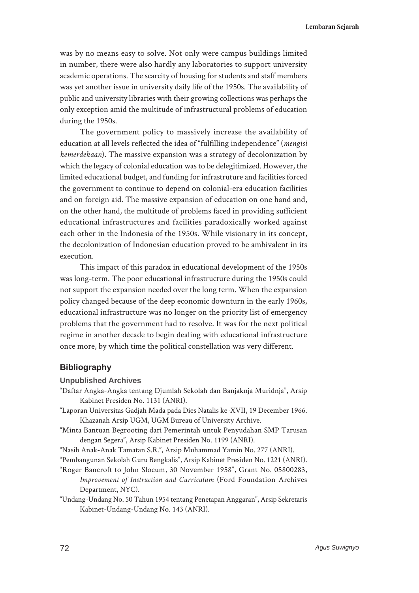was by no means easy to solve. Not only were campus buildings limited in number, there were also hardly any laboratories to support university academic operations. The scarcity of housing for students and staff members was yet another issue in university daily life of the 1950s. The availability of public and university libraries with their growing collections was perhaps the only exception amid the multitude of infrastructural problems of education during the 1950s.

The government policy to massively increase the availability of education at all levels reflected the idea of "fulfilling independence" (*mengisi kemerdekaan*). The massive expansion was a strategy of decolonization by which the legacy of colonial education was to be delegitimized. However, the limited educational budget, and funding for infrastruture and facilities forced the government to continue to depend on colonial-era education facilities and on foreign aid. The massive expansion of education on one hand and, on the other hand, the multitude of problems faced in providing sufficient educational infrastructures and facilities paradoxically worked against each other in the Indonesia of the 1950s. While visionary in its concept, the decolonization of Indonesian education proved to be ambivalent in its execution.

This impact of this paradox in educational development of the 1950s was long-term. The poor educational infrastructure during the 1950s could not support the expansion needed over the long term. When the expansion policy changed because of the deep economic downturn in the early 1960s, educational infrastructure was no longer on the priority list of emergency problems that the government had to resolve. It was for the next political regime in another decade to begin dealing with educational infrastructure once more, by which time the political constellation was very different.

## **Bibliography**

**Unpublished Archives**

- "Daftar Angka-Angka tentang Djumlah Sekolah dan Banjaknja Muridnja", Arsip Kabinet Presiden No. 1131 (ANRI).
- "Laporan Universitas Gadjah Mada pada Dies Natalis ke-XVII, 19 December 1966. Khazanah Arsip UGM, UGM Bureau of University Archive.
- "Minta Bantuan Begrooting dari Pemerintah untuk Penyudahan SMP Tarusan dengan Segera", Arsip Kabinet Presiden No. 1199 (ANRI).
- "Nasib Anak-Anak Tamatan S.R.", Arsip Muhammad Yamin No. 277 (ANRI).
- "Pembangunan Sekolah Guru Bengkalis", Arsip Kabinet Presiden No. 1221 (ANRI).
- "Roger Bancroft to John Slocum, 30 November 1958", Grant No. 05800283, *Improvement of Instruction and Curriculum* (Ford Foundation Archives Department, NYC).
- "Undang-Undang No. 50 Tahun 1954 tentang Penetapan Anggaran", Arsip Sekretaris Kabinet-Undang-Undang No. 143 (ANRI).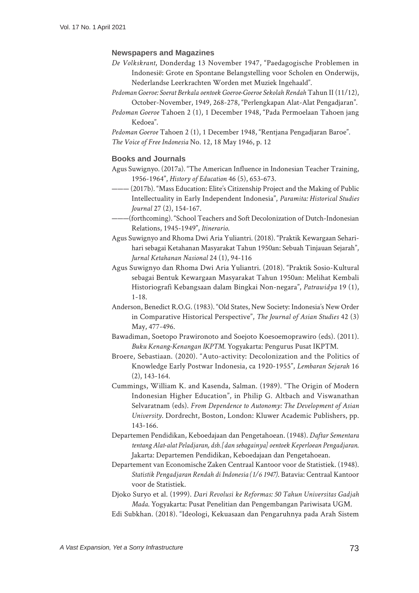#### **Newspapers and Magazines**

- *De Volkskrant*, Donderdag 13 November 1947, "Paedagogische Problemen in Indonesië: Grote en Spontane Belangstelling voor Scholen en Onderwijs, Nederlandse Leerkrachten Worden met Muziek Ingehaald".
- *Pedoman Goeroe: Soerat Berkala oentoek Goeroe-Goeroe Sekolah Rendah* Tahun II (11/12), October-November, 1949, 268-278, "Perlengkapan Alat-Alat Pengadjaran".
- *Pedoman Goeroe* Tahoen 2 (1), 1 December 1948, "Pada Permoelaan Tahoen jang Kedoea".

*Pedoman Goeroe* Tahoen 2 (1), 1 December 1948, "Rentjana Pengadjaran Baroe". *The Voice of Free Indonesia* No. 12, 18 May 1946, p. 12

#### **Books and Journals**

- Agus Suwignyo. (2017a). "The American Influence in Indonesian Teacher Training, 1956-1964", *History of Education* 46 (5), 653-673.
- $-(2017b)$ . "Mass Education: Elite's Citizenship Project and the Making of Public Intellectuality in Early Independent Indonesia", *Paramita: Historical Studies Journal* 27 (2), 154-167.
- ———(forthcoming). "School Teachers and Soft Decolonization of Dutch-Indonesian Relations, 1945-1949", *Itinerario*.
- Agus Suwignyo and Rhoma Dwi Aria Yuliantri. (2018). "Praktik Kewargaan Seharihari sebagai Ketahanan Masyarakat Tahun 1950an: Sebuah Tinjauan Sejarah", *Jurnal Ketahanan Nasional* 24 (1), 94-116
- Agus Suwignyo dan Rhoma Dwi Aria Yuliantri. (2018). "Praktik Sosio-Kultural sebagai Bentuk Kewargaan Masyarakat Tahun 1950an: Melihat Kembali Historiografi Kebangsaan dalam Bingkai Non-negara", *Patrawidya* 19 (1), 1-18.
- Anderson, Benedict R.O.G. (1983). "Old States, New Society: Indonesia's New Order in Comparative Historical Perspective", *The Journal of Asian Studies* 42 (3) May, 477-496.
- Bawadiman, Soetopo Prawironoto and Soejoto Koesoemoprawiro (eds). (2011). *Buku Kenang-Kenangan IKPTM*. Yogyakarta: Pengurus Pusat IKPTM.
- Broere, Sebastiaan. (2020). "Auto-activity: Decolonization and the Politics of Knowledge Early Postwar Indonesia, ca 1920-1955", *Lembaran Sejarah* 16 (2), 143-164.
- Cummings, William K. and Kasenda, Salman. (1989). "The Origin of Modern Indonesian Higher Education", in Philip G. Altbach and Viswanathan Selvaratnam (eds). *From Dependence to Autonomy: The Development of Asian University*. Dordrecht, Boston, London: Kluwer Academic Publishers, pp. 143-166.
- Departemen Pendidikan, Keboedajaan dan Pengetahoean. (1948). *Daftar Sementara tentang Alat-alat Peladjaran, dsb. [dan sebagainya] oentoek Keperloean Pengadjaran*. Jakarta: Departemen Pendidikan, Keboedajaan dan Pengetahoean.
- Departement van Economische Zaken Centraal Kantoor voor de Statistiek. (1948). *Statistik Pengadjaran Rendah di Indonesia (1/6 1947)*. Batavia: Centraal Kantoor voor de Statistiek.
- Djoko Suryo et al. (1999). *Dari Revolusi ke Reformas: 50 Tahun Universitas Gadjah Mada*. Yogyakarta: Pusat Penelitian dan Pengembangan Pariwisata UGM. Edi Subkhan. (2018). "Ideologi, Kekuasaan dan Pengaruhnya pada Arah Sistem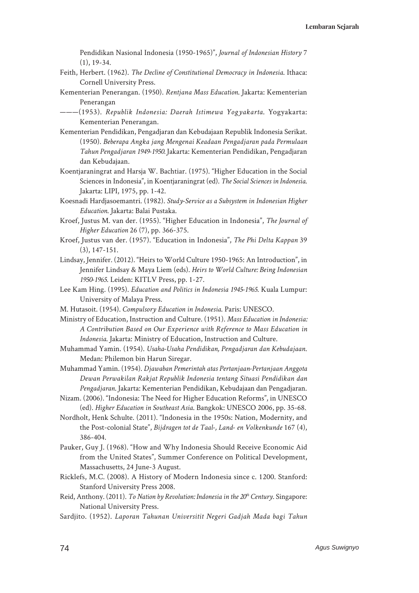Pendidikan Nasional Indonesia (1950-1965)", *Journal of Indonesian History* 7 (1), 19-34.

- Feith, Herbert. (1962). *The Decline of Constitutional Democracy in Indonesia*. Ithaca: Cornell University Press.
- Kementerian Penerangan. (1950). *Rentjana Mass Education*. Jakarta: Kementerian Penerangan
- ———(1953). *Republik Indonesia: Daerah Istimewa Yogyakarta*. Yogyakarta: Kementerian Penerangan.
- Kementerian Pendidikan, Pengadjaran dan Kebudajaan Republik Indonesia Serikat. (1950). *Beberapa Angka jang Mengenai Keadaan Pengadjaran pada Permulaan Tahun Pengadjaran 1949-1950.* Jakarta: Kementerian Pendidikan, Pengadjaran dan Kebudajaan.
- Koentjaraningrat and Harsja W. Bachtiar. (1975). "Higher Education in the Social Sciences in Indonesia", in Koentjaraningrat (ed). *The Social Sciences in Indonesia*. Jakarta: LIPI, 1975, pp. 1-42.
- Koesnadi Hardjasoemantri. (1982). *Study-Service as a Subsystem in Indonesian Higher Education*. Jakarta: Balai Pustaka.
- Kroef, Justus M. van der. (1955). "Higher Education in Indonesia", *The Journal of Higher Education* 26 (7), pp. 366-375.
- Kroef, Justus van der. (1957). "Education in Indonesia", *The Phi Delta Kappan* 39 (3), 147-151.
- Lindsay, Jennifer. (2012). "Heirs to World Culture 1950-1965: An Introduction", in Jennifer Lindsay & Maya Liem (eds). *Heirs to World Culture: Being Indonesian 1950-1965*. Leiden: KITLV Press, pp. 1-27.
- Lee Kam Hing. (1995). *Education and Politics in Indonesia 1945-1965*. Kuala Lumpur: University of Malaya Press.
- M. Hutasoit. (1954). *Compulsory Education in Indonesia*. Paris: UNESCO.
- Ministry of Education, Instruction and Culture. (1951). *Mass Education in Indonesia: A Contribution Based on Our Experience with Reference to Mass Education in Indonesia*. Jakarta: Ministry of Education, Instruction and Culture.
- Muhammad Yamin. (1954). *Usaha-Usaha Pendidikan, Pengadjaran dan Kebudajaan*. Medan: Philemon bin Harun Siregar.
- Muhammad Yamin. (1954). *Djawaban Pemerintah atas Pertanjaan-Pertanjaan Anggota Dewan Perwakilan Rakjat Republik Indonesia tentang Situasi Pendidikan dan Pengadjaran*. Jakarta: Kementerian Pendidikan, Kebudajaan dan Pengadjaran.
- Nizam. (2006). "Indonesia: The Need for Higher Education Reforms", in UNESCO (ed). *Higher Education in Southeast Asia*. Bangkok: UNESCO 2006, pp. 35-68.
- Nordholt, Henk Schulte. (2011). "Indonesia in the 1950s: Nation, Modernity, and the Post-colonial State", *Bijdragen tot de Taal-, Land- en Volkenkunde* 167 (4), 386-404.
- Pauker, Guy J. (1968). "How and Why Indonesia Should Receive Economic Aid from the United States", Summer Conference on Political Development, Massachusetts, 24 June-3 August.
- Ricklefs, M.C. (2008). A History of Modern Indonesia since c. 1200. Stanford: Stanford University Press 2008.
- Reid, Anthony. (2011). *To Nation by Revolution: Indonesia in the 20<sup>th</sup> Century*. Singapore: National University Press.
- Sardjito. (1952). *Laporan Tahunan Universitit Negeri Gadjah Mada bagi Tahun*